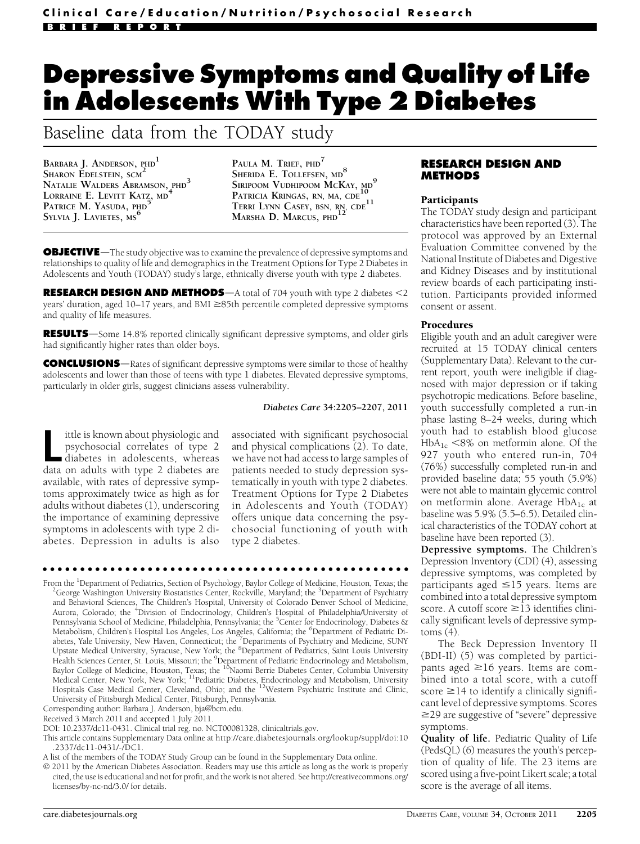# Depressive Symptoms and Quality of Life in Adolescents With Type 2 Diabetes

# Baseline data from the TODAY study

BARBARA J. ANDERSON, PHD<sup>1</sup> SHARON EDELSTEIN, SCM<sup>2</sup> NATALIE WALDERS ABRAMSON, PHD<sup>3</sup> LORRAINE E. LEVITT KATZ, MD<sup>4</sup> PATRICE M. YASUDA, PHD SYLVIA J. LAVIETES, MS<sup>6</sup>

PAULA M. TRIEF, PHD<sup>7</sup> SHERIDA E. TOLLEFSEN, MD<sup>8</sup> SIRIPOOM VUDHIPOOM MCKAY, MO<sup>9</sup> PATRICIA KRINGAS, RN, MA, CDE TERRI LYNN CASEY, BSN, RN, CDE<sup>11</sup> MARSHA D. MARCUS, PHD<sup>12</sup>

**OBJECTIVE**—The study objective was to examine the prevalence of depressive symptoms and relationships to quality of life and demographics in the Treatment Options for Type 2 Diabetes in Adolescents and Youth (TODAY) study's large, ethnically diverse youth with type 2 diabetes.

**RESEARCH DESIGN AND METHODS**—A total of 704 youth with type 2 diabetes  $<2$ years' duration, aged  $10-17$  years, and BMI  $\geq$ 85th percentile completed depressive symptoms and quality of life measures.

**RESULTS**—Some 14.8% reported clinically significant depressive symptoms, and older girls had significantly higher rates than older boys.

**CONCLUSIONS**—Rates of significant depressive symptoms were similar to those of healthy adolescents and lower than those of teens with type 1 diabetes. Elevated depressive symptoms, particularly in older girls, suggest clinicians assess vulnerability.

## Diabetes Care 34:2205–2207, 2011

Ittle is known about physiologic and<br>psychosocial correlates of type 2<br>diabetes in adolescents, whereas<br>data on adults with type 2 diabetes are ittle is known about physiologic and psychosocial correlates of type 2 diabetes in adolescents, whereas available, with rates of depressive symptoms approximately twice as high as for adults without diabetes (1), underscoring the importance of examining depressive symptoms in adolescents with type 2 diabetes. Depression in adults is also associated with significant psychosocial and physical complications (2). To date, we have not had access to large samples of patients needed to study depression systematically in youth with type 2 diabetes. Treatment Options for Type 2 Diabetes in Adolescents and Youth (TODAY) offers unique data concerning the psychosocial functioning of youth with type 2 diabetes.

#### ccccccccccccccccccccccccccccccccccccccccccccccccc

From the <sup>1</sup>Department of Pediatrics, Section of Psychology, Baylor College of Medicine, Houston, Texas; the <sup>2</sup>Corre Washington University Biostatistics Center, Pockville, Meryland; the <sup>2</sup>Department of Psychiatry George Washington University Biostatistics Center, Rockville, Maryland; the <sup>3</sup>Department of Psychiatry and Behavioral Sciences, The Children's Hospital, University of Colorado Denver School of Medicine,<br>Aurora, Colorado; the <sup>4</sup>Division of Endocrinology, Children's Hospital of Philadelphia/University of Pennsylvania School of Medicine, Philadelphia, Pennsylvania; the <sup>5</sup>Center for Endocrinology, Diabetes & Metabolism, Children's Hospital Los Angeles, Los Angeles, California; the <sup>6</sup>Department of Pediatric Di-<br>abetes, Yale University, New Haven, Connecticut; the <sup>7</sup>Departments of Psychiatry and Medicine, SUNY<br>Upstate Medical Health Sciences Center, St. Louis, Missouri; the <sup>9</sup>Department of Pediatric Endocrinology and Metabolism,<br>Baylor College of Medicine, Houston, Texas; the <sup>10</sup>Naomi Berrie Diabetes Center, Columbia University Medical Center, New York, New York; <sup>11</sup>Pediatric Diabetes, Endocrinology and Metabolism, University Hospitals Case Medical Center, Cleveland, Ohio; and the <sup>12</sup>Western Psychiatric Institute and Clinic, University of Pittsburgh Medical Center, Pittsburgh, Pennsylvania.

- DOI: 10.2337/dc11-0431. Clinical trial reg. no. NCT00081328, clinicaltrials.gov.
- This article contains Supplementary Data online at http://care.diabetesjournals.org/lookup/suppl/doi:10 .2337/dc11-0431/-/DC1.
- A list of the members of the TODAY Study Group can be found in the Supplementary Data online.
- 2011 by the American Diabetes Association. Readers may use this article as long as the work is properly cited, the use is educational and not for profit, and the work is not altered. See http://creativecommons.org/ licenses/by-nc-nd/3.0/ for details.

# RESEARCH DESIGN AND METHODS

#### Participants

The TODAY study design and participant characteristics have been reported (3). The protocol was approved by an External Evaluation Committee convened by the National Institute of Diabetes and Digestive and Kidney Diseases and by institutional review boards of each participating institution. Participants provided informed consent or assent.

#### Procedures

Eligible youth and an adult caregiver were recruited at 15 TODAY clinical centers (Supplementary Data). Relevant to the current report, youth were ineligible if diagnosed with major depression or if taking psychotropic medications. Before baseline, youth successfully completed a run-in phase lasting 8–24 weeks, during which youth had to establish blood glucose  $HbA_{1c}$  <8% on metformin alone. Of the 927 youth who entered run-in, 704 (76%) successfully completed run-in and provided baseline data; 55 youth (5.9%) were not able to maintain glycemic control on metformin alone. Average HbA<sub>1c</sub> at baseline was 5.9% (5.5–6.5). Detailed clinical characteristics of the TODAY cohort at baseline have been reported (3).

Depressive symptoms. The Children's Depression Inventory (CDI) (4), assessing depressive symptoms, was completed by participants aged  $\leq$ 15 years. Items are combined into a total depressive symptom score. A cutoff score  $\geq$ 13 identifies clinically significant levels of depressive symptoms (4).

The Beck Depression Inventory II (BDI-II) (5) was completed by participants aged  $\geq$ 16 years. Items are combined into a total score, with a cutoff score  $\geq$ 14 to identify a clinically significant level of depressive symptoms. Scores  $\geq$ 29 are suggestive of "severe" depressive symptoms.

Quality of life. Pediatric Quality of Life (PedsQL) (6) measures the youth's perception of quality of life. The 23 items are scored using a five-point Likert scale; a total score is the average of all items.

Corresponding author: Barbara J. Anderson, bja@bcm.edu.

Received 3 March 2011 and accepted 1 July 2011.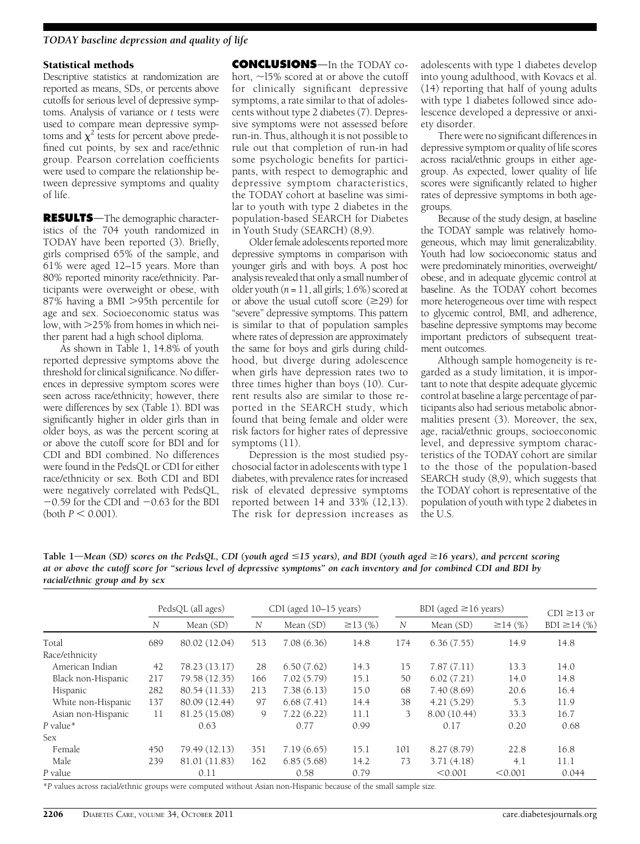# TODAY baseline depression and quality of life

## Statistical methods

Descriptive statistics at randomization are reported as means, SDs, or percents above cutoffs for serious level of depressive symptoms. Analysis of variance or  $t$  tests were used to compare mean depressive symptoms and  $\chi^2$  tests for percent above predefined cut points, by sex and race/ethnic group. Pearson correlation coefficients were used to compare the relationship between depressive symptoms and quality of life.

**RESULTS**—The demographic characteristics of the 704 youth randomized in TODAY have been reported (3). Briefly, girls comprised 65% of the sample, and 61% were aged 12–15 years. More than 80% reported minority race/ethnicity. Participants were overweight or obese, with 87% having a BMI >95th percentile for age and sex. Socioeconomic status was low, with  $>$ 25% from homes in which neither parent had a high school diploma.

As shown in Table 1, 14.8% of youth reported depressive symptoms above the threshold for clinical significance. No differences in depressive symptom scores were seen across race/ethnicity; however, there were differences by sex (Table 1). BDI was significantly higher in older girls than in older boys, as was the percent scoring at or above the cutoff score for BDI and for CDI and BDI combined. No differences were found in the PedsQL or CDI for either race/ethnicity or sex. Both CDI and BDI were negatively correlated with PedsQL,  $-0.59$  for the CDI and  $-0.63$  for the BDI (both  $P < 0.001$ ).

**CONCLUSIONS**—In the TODAY cohort,  $\sim$ 15% scored at or above the cutoff for clinically significant depressive symptoms, a rate similar to that of adolescents without type 2 diabetes (7). Depressive symptoms were not assessed before run-in. Thus, although it is not possible to rule out that completion of run-in had some psychologic benefits for participants, with respect to demographic and depressive symptom characteristics, the TODAY cohort at baseline was similar to youth with type 2 diabetes in the population-based SEARCH for Diabetes in Youth Study (SEARCH) (8,9).

Older female adolescents reported more depressive symptoms in comparison with younger girls and with boys. A post hoc analysis revealed that only a small number of older youth ( $n = 11$ , all girls; 1.6%) scored at or above the usual cutoff score  $(\geq 29)$  for "severe" depressive symptoms. This pattern is similar to that of population samples where rates of depression are approximately the same for boys and girls during childhood, but diverge during adolescence when girls have depression rates two to three times higher than boys (10). Current results also are similar to those reported in the SEARCH study, which found that being female and older were risk factors for higher rates of depressive symptoms (11).

Depression is the most studied psychosocial factor in adolescents with type 1 diabetes, with prevalence rates for increased risk of elevated depressive symptoms reported between  $14$  and  $33\%$  (12,13). The risk for depression increases as adolescents with type 1 diabetes develop into young adulthood, with Kovacs et al. (14) reporting that half of young adults with type 1 diabetes followed since adolescence developed a depressive or anxiety disorder.

There were no significant differences in depressive symptom or quality of life scores across racial/ethnic groups in either agegroup. As expected, lower quality of life scores were significantly related to higher rates of depressive symptoms in both agegroups.

Because of the study design, at baseline the TODAY sample was relatively homogeneous, which may limit generalizability. Youth had low socioeconomic status and were predominately minorities, overweight/ obese, and in adequate glycemic control at baseline. As the TODAY cohort becomes more heterogeneous over time with respect to glycemic control, BMI, and adherence, baseline depressive symptoms may become important predictors of subsequent treatment outcomes.

Although sample homogeneity is regarded as a study limitation, it is important to note that despite adequate glycemic control at baseline a large percentage of participants also had serious metabolic abnormalities present (3). Moreover, the sex, age, racial/ethnic groups, socioeconomic level, and depressive symptom characteristics of the TODAY cohort are similar to the those of the population-based SEARCH study (8,9), which suggests that the TODAY cohort is representative of the population of youth with type 2 diabetes in the U.S.

Table 1—Mean (SD) scores on the PedsQL, CDI (youth aged  $\leq$ 15 years), and BDI (youth aged  $\geq$ 16 years), and percent scoring at or above the cutoff score for "serious level of depressive symptoms" on each inventory and for combined CDI and BDI by racial/ethnic group and by sex

|                    | PedsQL (all ages) |               | CDI (aged 10–15 years) |            |               | BDI (aged $\geq$ 16 years) |              |               | $CDI \ge 13$ or   |
|--------------------|-------------------|---------------|------------------------|------------|---------------|----------------------------|--------------|---------------|-------------------|
|                    | N                 | Mean (SD)     | N                      | Mean (SD)  | $\geq$ 13 (%) | $\mathcal N$               | Mean (SD)    | $\geq$ 14 (%) | $BDI \geq 14$ (%) |
| Total              | 689               | 80.02 (12.04) | 513                    | 7.08(6.36) | 14.8          | 174                        | 6.36(7.55)   | 14.9          | 14.8              |
| Race/ethnicity     |                   |               |                        |            |               |                            |              |               |                   |
| American Indian    | 42                | 78.23 (13.17) | 28                     | 6.50(7.62) | 14.3          | 15                         | 7.87(7.11)   | 13.3          | 14.0              |
| Black non-Hispanic | 217               | 79.58 (12.35) | 166                    | 7.02(5.79) | 15.1          | 50                         | 6.02(7.21)   | 14.0          | 14.8              |
| Hispanic           | 282               | 80.54 (11.33) | 213                    | 7.38(6.13) | 15.0          | 68                         | 7.40(8.69)   | 20.6          | 16.4              |
| White non-Hispanic | 137               | 80.09 (12.44) | 97                     | 6.68(7.41) | 14.4          | 38                         | 4.21(5.29)   | 5.3           | 11.9              |
| Asian non-Hispanic | 11                | 81.25 (15.08) | 9                      | 7.22(6.22) | 11.1          | 3                          | 8.00 (10.44) | 33.3          | 16.7              |
| $P$ value*         |                   | 0.63          |                        | 0.77       | 0.99          |                            | 0.17         | 0.20          | 0.68              |
| <b>Sex</b>         |                   |               |                        |            |               |                            |              |               |                   |
| Female             | 450               | 79.49 (12.13) | 351                    | 7.19(6.65) | 15.1          | 101                        | 8.27(8.79)   | 22.8          | 16.8              |
| Male               | 239               | 81.01 (11.83) | 162                    | 6.85(5.68) | 14.2          | 73                         | 3.71(4.18)   | 4.1           | 11.1              |
| P value            |                   | 0.11          |                        | 0.58       | 0.79          |                            | < 0.001      | < 0.001       | 0.044             |

\*P values across racial/ethnic groups were computed without Asian non-Hispanic because of the small sample size.